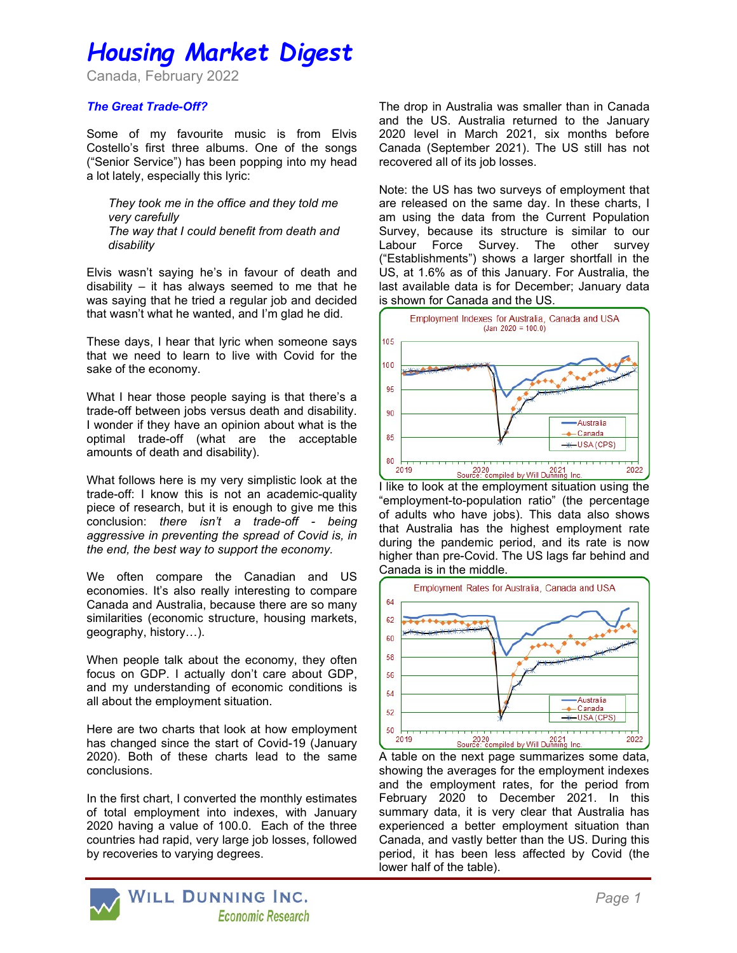# Housing Market Digest

Canada, February 2022

## The Great Trade-Off?

Some of my favourite music is from Elvis Costello's first three albums. One of the songs ("Senior Service") has been popping into my head a lot lately, especially this lyric:

They took me in the office and they told me very carefully The way that I could benefit from death and disability

Elvis wasn't saying he's in favour of death and disability – it has always seemed to me that he was saying that he tried a regular job and decided that wasn't what he wanted, and I'm glad he did.

These days, I hear that lyric when someone says that we need to learn to live with Covid for the sake of the economy.

What I hear those people saying is that there's a trade-off between jobs versus death and disability. I wonder if they have an opinion about what is the optimal trade-off (what are the acceptable amounts of death and disability).

What follows here is my very simplistic look at the trade-off: I know this is not an academic-quality piece of research, but it is enough to give me this conclusion: there isn't a trade-off - being aggressive in preventing the spread of Covid is, in the end, the best way to support the economy.

We often compare the Canadian and US economies. It's also really interesting to compare Canada and Australia, because there are so many similarities (economic structure, housing markets, geography, history…).

When people talk about the economy, they often focus on GDP. I actually don't care about GDP, and my understanding of economic conditions is all about the employment situation.

Here are two charts that look at how employment has changed since the start of Covid-19 (January 2020). Both of these charts lead to the same conclusions.

In the first chart, I converted the monthly estimates of total employment into indexes, with January 2020 having a value of 100.0. Each of the three countries had rapid, very large job losses, followed by recoveries to varying degrees.

The drop in Australia was smaller than in Canada and the US. Australia returned to the January 2020 level in March 2021, six months before Canada (September 2021). The US still has not recovered all of its job losses.

Note: the US has two surveys of employment that are released on the same day. In these charts, I am using the data from the Current Population Survey, because its structure is similar to our Labour Force Survey. The other survey ("Establishments") shows a larger shortfall in the US, at 1.6% as of this January. For Australia, the last available data is for December; January data is shown for Canada and the US.



I like to look at the employment situation using the "employment-to-population ratio" (the percentage of adults who have jobs). This data also shows that Australia has the highest employment rate during the pandemic period, and its rate is now higher than pre-Covid. The US lags far behind and Canada is in the middle.



A table on the next page summarizes some data, showing the averages for the employment indexes and the employment rates, for the period from February 2020 to December 2021. In this summary data, it is very clear that Australia has experienced a better employment situation than Canada, and vastly better than the US. During this period, it has been less affected by Covid (the lower half of the table).